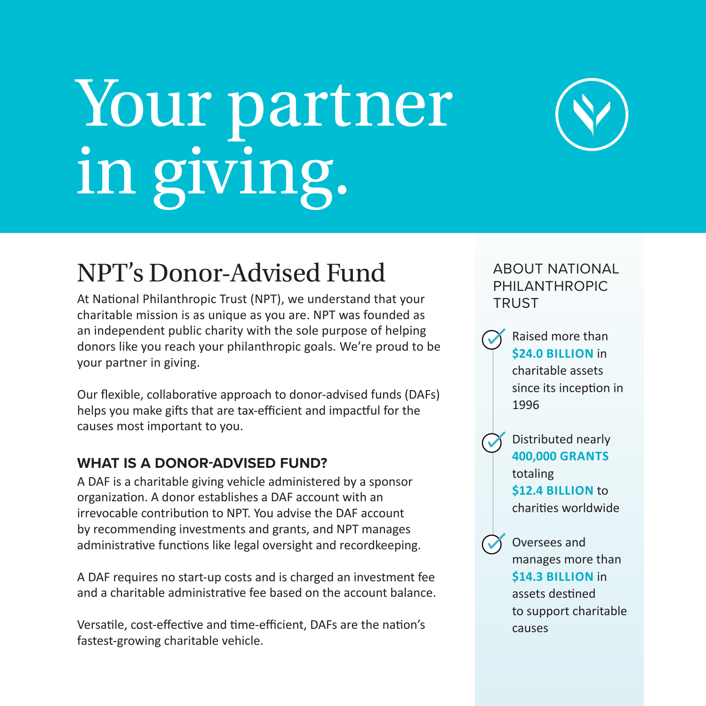# Your partner in giving.



## NPT's Donor-Advised Fund

At National Philanthropic Trust (NPT), we understand that your charitable mission is as unique as you are. NPT was founded as an independent public charity with the sole purpose of helping donors like you reach your philanthropic goals. We're proud to be your partner in giving.

Our flexible, collaborative approach to donor-advised funds (DAFs) helps you make gifts that are tax-efficient and impactful for the causes most important to you.

#### **WHAT IS A DONOR-ADVISED FUND?**

A DAF is a charitable giving vehicle administered by a sponsor organization. A donor establishes a DAF account with an irrevocable contribution to NPT. You advise the DAF account by recommending investments and grants, and NPT manages administrative functions like legal oversight and recordkeeping.

A DAF requires no start-up costs and is charged an investment fee and a charitable administrative fee based on the account balance.

Versatile, cost-effective and time-efficient, DAFs are the nation's fastest-growing charitable vehicle.

ABOUT NATIONAL PHILANTHROPIC **TRUST** 

Raised more than **\$24.0 BILLION** in charitable assets since its inception in 1996

Distributed nearly **400,000 GRANTS** totaling **\$12.4 BILLION** to charities worldwide

 $\sqrt{ }$ 

Oversees and manages more than **\$14.3 BILLION** in assets destined to support charitable causes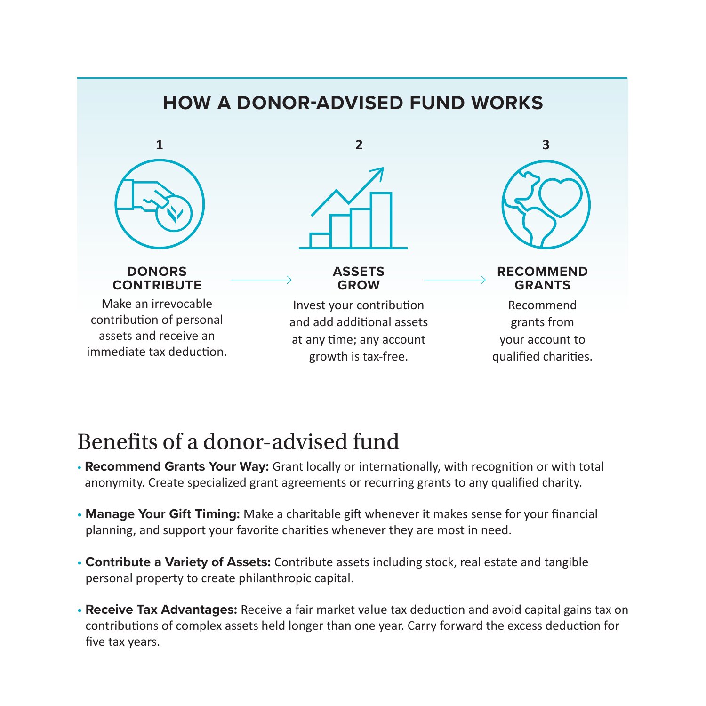

## Benefits of a donor-advised fund

- **• Recommend Grants Your Way:** Grant locally or internationally, with recognition or with total anonymity. Create specialized grant agreements or recurring grants to any qualified charity.
- **• Manage Your Gift Timing:** Make a charitable gift whenever it makes sense for your financial planning, and support your favorite charities whenever they are most in need.
- **• Contribute a Variety of Assets:** Contribute assets including stock, real estate and tangible personal property to create philanthropic capital.
- **• Receive Tax Advantages:** Receive a fair market value tax deduction and avoid capital gains tax on contributions of complex assets held longer than one year. Carry forward the excess deduction for five tax years.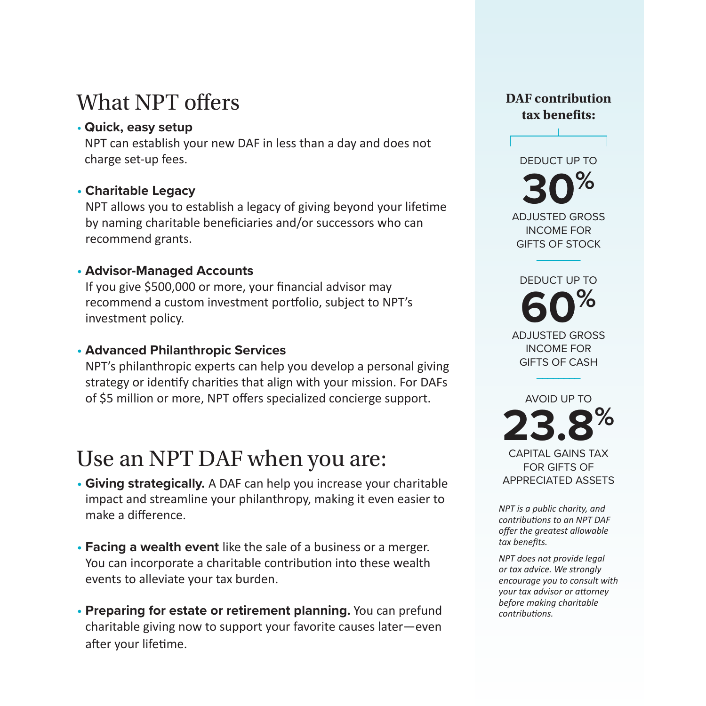## What NPT offers

#### **• Quick, easy setup**

NPT can establish your new DAF in less than a day and does not charge set-up fees.

#### **• Charitable Legacy**

NPT allows you to establish a legacy of giving beyond your lifetime by naming charitable beneficiaries and/or successors who can recommend grants.

#### **• Advisor-Managed Accounts**

If you give \$500,000 or more, your financial advisor may recommend a custom investment portfolio, subject to NPT's investment policy.

#### **• Advanced Philanthropic Services**

NPT's philanthropic experts can help you develop a personal giving strategy or identify charities that align with your mission. For DAFs of \$5 million or more, NPT offers specialized concierge support.

## Use an NPT DAF when you are:

- **Giving strategically.** A DAF can help you increase your charitable impact and streamline your philanthropy, making it even easier to make a difference.
- **Facing a wealth event** like the sale of a business or a merger. You can incorporate a charitable contribution into these wealth events to alleviate your tax burden.
- **Preparing for estate or retirement planning.** You can prefund charitable giving now to support your favorite causes later—even after your lifetime.

#### **DAF contribution tax benefits:**

DEDUCT UP TO **30%** ADJUSTED GROSS INCOME FOR GIFTS OF STOCK

DEDUCT UP TO **60%** ADJUSTED GROSS INCOME FOR GIFTS OF CASH

––––––––

AVOID UP TO **23.8%** CAPITAL GAINS TAX FOR GIFTS OF

––––––––

APPRECIATED ASSETS

*NPT is a public charity, and contributions to an NPT DAF offer the greatest allowable tax benefits.*

*NPT does not provide legal or tax advice. We strongly encourage you to consult with your tax advisor or attorney before making charitable contributions.*